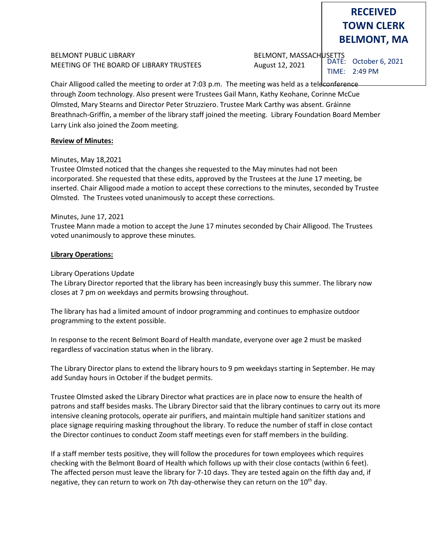# BELMONT PUBLIC LIBRARY BELMONT, MASSACHUSETTS MEETING OF THE BOARD OF LIBRARY TRUSTEES August 12, 2021

**RECEIVED TOWN CLERK BELMONT, MA**

DATE: October 6, 2021 TIME: 2:49 PM

Chair Alligood called the meeting to order at 7:03 p.m. The meeting was held as a teleconference through Zoom technology. Also present were Trustees Gail Mann, Kathy Keohane, Corinne McCue Olmsted, Mary Stearns and Director Peter Struzziero. Trustee Mark Carthy was absent. Gráinne Breathnach-Griffin, a member of the library staff joined the meeting. Library Foundation Board Member Larry Link also joined the Zoom meeting.

#### **Review of Minutes:**

#### Minutes, May 18,2021

Trustee Olmsted noticed that the changes she requested to the May minutes had not been incorporated. She requested that these edits, approved by the Trustees at the June 17 meeting, be inserted. Chair Alligood made a motion to accept these corrections to the minutes, seconded by Trustee Olmsted. The Trustees voted unanimously to accept these corrections.

#### Minutes, June 17, 2021

Trustee Mann made a motion to accept the June 17 minutes seconded by Chair Alligood. The Trustees voted unanimously to approve these minutes.

#### **Library Operations:**

#### Library Operations Update

The Library Director reported that the library has been increasingly busy this summer. The library now closes at 7 pm on weekdays and permits browsing throughout.

The library has had a limited amount of indoor programming and continues to emphasize outdoor programming to the extent possible.

In response to the recent Belmont Board of Health mandate, everyone over age 2 must be masked regardless of vaccination status when in the library.

The Library Director plans to extend the library hours to 9 pm weekdays starting in September. He may add Sunday hours in October if the budget permits.

Trustee Olmsted asked the Library Director what practices are in place now to ensure the health of patrons and staff besides masks. The Library Director said that the library continues to carry out its more intensive cleaning protocols, operate air purifiers, and maintain multiple hand sanitizer stations and place signage requiring masking throughout the library. To reduce the number of staff in close contact the Director continues to conduct Zoom staff meetings even for staff members in the building.

If a staff member tests positive, they will follow the procedures for town employees which requires checking with the Belmont Board of Health which follows up with their close contacts (within 6 feet). The affected person must leave the library for 7-10 days. They are tested again on the fifth day and, if negative, they can return to work on 7th day-otherwise they can return on the 10<sup>th</sup> day.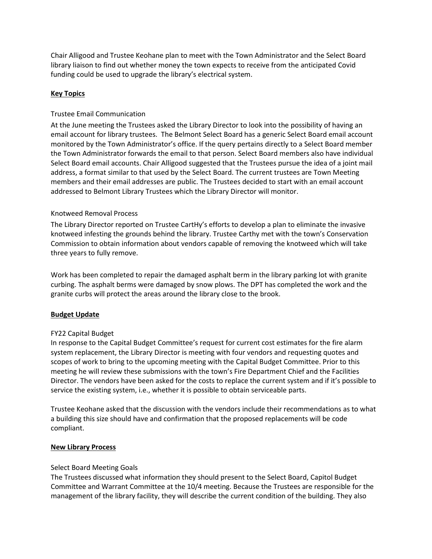Chair Alligood and Trustee Keohane plan to meet with the Town Administrator and the Select Board library liaison to find out whether money the town expects to receive from the anticipated Covid funding could be used to upgrade the library's electrical system.

# **Key Topics**

# Trustee Email Communication

At the June meeting the Trustees asked the Library Director to look into the possibility of having an email account for library trustees. The Belmont Select Board has a generic Select Board email account monitored by the Town Administrator's office. If the query pertains directly to a Select Board member the Town Administrator forwards the email to that person. Select Board members also have individual Select Board email accounts. Chair Alligood suggested that the Trustees pursue the idea of a joint mail address, a format similar to that used by the Select Board. The current trustees are Town Meeting members and their email addresses are public. The Trustees decided to start with an email account addressed to Belmont Library Trustees which the Library Director will monitor.

# Knotweed Removal Process

The Library Director reported on Trustee CartHy's efforts to develop a plan to eliminate the invasive knotweed infesting the grounds behind the library. Trustee Carthy met with the town's Conservation Commission to obtain information about vendors capable of removing the knotweed which will take three years to fully remove.

Work has been completed to repair the damaged asphalt berm in the library parking lot with granite curbing. The asphalt berms were damaged by snow plows. The DPT has completed the work and the granite curbs will protect the areas around the library close to the brook.

# **Budget Update**

# FY22 Capital Budget

In response to the Capital Budget Committee's request for current cost estimates for the fire alarm system replacement, the Library Director is meeting with four vendors and requesting quotes and scopes of work to bring to the upcoming meeting with the Capital Budget Committee. Prior to this meeting he will review these submissions with the town's Fire Department Chief and the Facilities Director. The vendors have been asked for the costs to replace the current system and if it's possible to service the existing system, i.e., whether it is possible to obtain serviceable parts.

Trustee Keohane asked that the discussion with the vendors include their recommendations as to what a building this size should have and confirmation that the proposed replacements will be code compliant.

#### **New Library Process**

#### Select Board Meeting Goals

The Trustees discussed what information they should present to the Select Board, Capitol Budget Committee and Warrant Committee at the 10/4 meeting. Because the Trustees are responsible for the management of the library facility, they will describe the current condition of the building. They also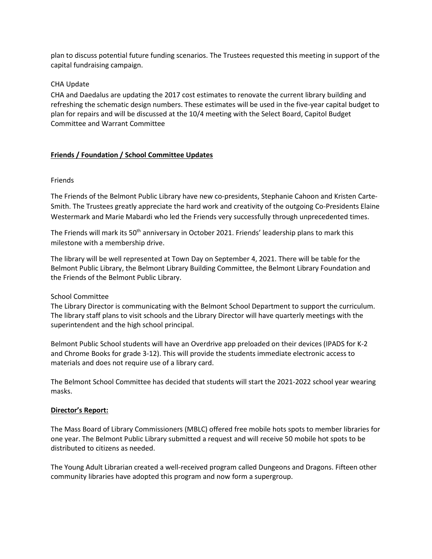plan to discuss potential future funding scenarios. The Trustees requested this meeting in support of the capital fundraising campaign.

# CHA Update

CHA and Daedalus are updating the 2017 cost estimates to renovate the current library building and refreshing the schematic design numbers. These estimates will be used in the five-year capital budget to plan for repairs and will be discussed at the 10/4 meeting with the Select Board, Capitol Budget Committee and Warrant Committee

# **Friends / Foundation / School Committee Updates**

#### **Friends**

The Friends of the Belmont Public Library have new co-presidents, Stephanie Cahoon and Kristen Carte-Smith. The Trustees greatly appreciate the hard work and creativity of the outgoing Co-Presidents Elaine Westermark and Marie Mabardi who led the Friends very successfully through unprecedented times.

The Friends will mark its 50<sup>th</sup> anniversary in October 2021. Friends' leadership plans to mark this milestone with a membership drive.

The library will be well represented at Town Day on September 4, 2021. There will be table for the Belmont Public Library, the Belmont Library Building Committee, the Belmont Library Foundation and the Friends of the Belmont Public Library.

# School Committee

The Library Director is communicating with the Belmont School Department to support the curriculum. The library staff plans to visit schools and the Library Director will have quarterly meetings with the superintendent and the high school principal.

Belmont Public School students will have an Overdrive app preloaded on their devices (IPADS for K-2 and Chrome Books for grade 3-12). This will provide the students immediate electronic access to materials and does not require use of a library card.

The Belmont School Committee has decided that students will start the 2021-2022 school year wearing masks.

#### **Director's Report:**

The Mass Board of Library Commissioners (MBLC) offered free mobile hots spots to member libraries for one year. The Belmont Public Library submitted a request and will receive 50 mobile hot spots to be distributed to citizens as needed.

The Young Adult Librarian created a well-received program called Dungeons and Dragons. Fifteen other community libraries have adopted this program and now form a supergroup.